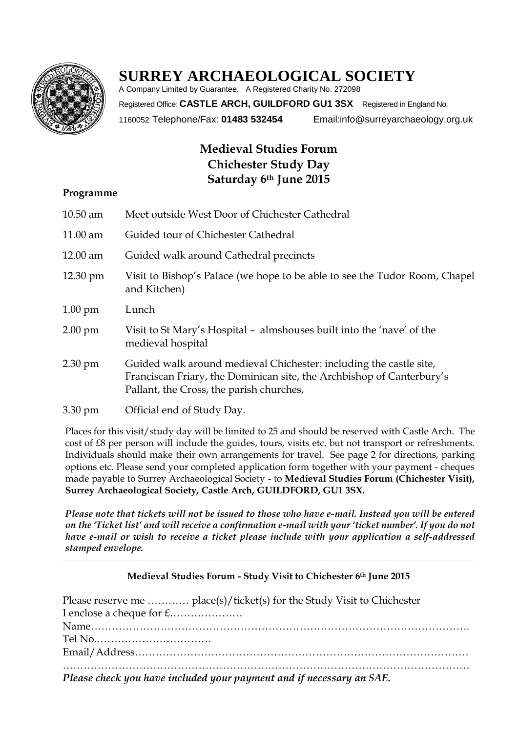

# **SURREY ARCHAEOLOGICAL SOCIETY**

A Company Limited by Guarantee. A Registered Charity No. 272098 Registered Office: **CASTLE ARCH, GUILDFORD GU1 3SX** Registered in England No. 1160052 Telephone/Fax: **01483 532454** Email:info@surreyarchaeology.org.uk

# **Medieval Studies Forum Chichester Study Day Saturday 6th June 2015**

#### **Programme**

| $10.50$ am         | Meet outside West Door of Chichester Cathedral                                                                                                                                          |
|--------------------|-----------------------------------------------------------------------------------------------------------------------------------------------------------------------------------------|
| $11.00$ am         | Guided tour of Chichester Cathedral                                                                                                                                                     |
| 12.00 am           | Guided walk around Cathedral precincts                                                                                                                                                  |
| $12.30 \text{ pm}$ | Visit to Bishop's Palace (we hope to be able to see the Tudor Room, Chapel<br>and Kitchen)                                                                                              |
| $1.00 \text{ pm}$  | Lunch                                                                                                                                                                                   |
| $2.00 \text{ pm}$  | Visit to St Mary's Hospital - almshouses built into the 'nave' of the<br>medieval hospital                                                                                              |
| $2.30 \text{ pm}$  | Guided walk around medieval Chichester: including the castle site,<br>Franciscan Friary, the Dominican site, the Archbishop of Canterbury's<br>Pallant, the Cross, the parish churches, |
| 3.30 pm            | Official end of Study Day.                                                                                                                                                              |

Places for this visit/study day will be limited to 25 and should be reserved with Castle Arch. The cost of £8 per person will include the guides, tours, visits etc. but not transport or refreshments. Individuals should make their own arrangements for travel. See page 2 for directions, parking options etc. Please send your completed application form together with your payment - cheques made payable to Surrey Archaeological Society - to **Medieval Studies Forum (Chichester Visit), Surrey Archaeological Society, Castle Arch, GUILDFORD, GU1 3SX***.*

*Please note that tickets will not be issued to those who have e-mail. Instead you will be entered on the 'Ticket list' and will receive a confirmation e-mail with your 'ticket number'. If you do not have e-mail or wish to receive a ticket please include with your application a self-addressed stamped envelope.*

# **Medieval Studies Forum - Study Visit to Chichester 6th June 2015**

 $\_$  ,  $\_$  ,  $\_$  ,  $\_$  ,  $\_$  ,  $\_$  ,  $\_$  ,  $\_$  ,  $\_$  ,  $\_$  ,  $\_$  ,  $\_$  ,  $\_$  ,  $\_$  ,  $\_$  ,  $\_$  ,  $\_$  ,  $\_$  ,  $\_$  ,  $\_$  ,  $\_$  ,  $\_$  ,  $\_$  ,  $\_$  ,  $\_$  ,  $\_$  ,  $\_$  ,  $\_$  ,  $\_$  ,  $\_$  ,  $\_$  ,  $\_$  ,  $\_$  ,  $\_$  ,  $\_$  ,  $\_$  ,  $\_$  ,

| Please reserve me  place(s)/ticket(s) for the Study Visit to Chichester |
|-------------------------------------------------------------------------|
|                                                                         |
|                                                                         |
|                                                                         |
|                                                                         |
| Dlegge gloop you have included your naymant and if necessary an SAF     |

*Please check you have included your payment and if necessary an SAE.*